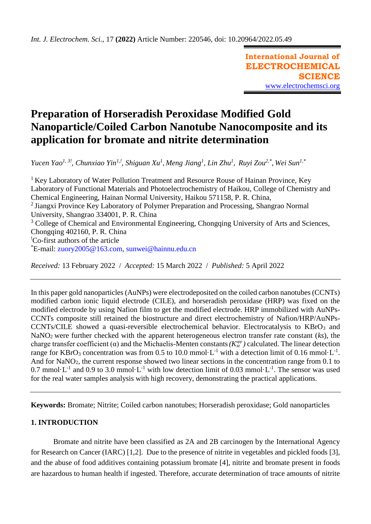**International Journal of ELECTROCHEMICAL SCIENCE** [www.electrochemsci.org](http://www.electrochemsci.org/)

# **Preparation of Horseradish Peroxidase Modified Gold Nanoparticle/Coiled Carbon Nanotube Nanocomposite and its application for bromate and nitrite determination**

*Yucen Yao<sup>1, 3!</sup>, Chunxiao Yin<sup>1,!</sup>, Shiguan Xu<sup>1</sup>, Meng Jiang<sup>1</sup>, Lin Zhu<sup>1</sup>, Ruyi Zou<sup>2,\*</sup>, Wei Sun<sup>1,\*</sup>* 

<sup>1</sup> Key Laboratory of Water Pollution Treatment and Resource Rouse of Hainan Province, Key Laboratory of Functional Materials and Photoelectrochemistry of Haikou, College of Chemistry and Chemical Engineering, Hainan Normal University, Haikou 571158, P. R. China, <sup>2</sup> Jiangxi Province Key Laboratory of Polymer Preparation and Processing, Shangrao Normal University, Shangrao 334001, P. R. China <sup>3</sup> College of Chemical and Environmental Engineering, Chongqing University of Arts and Sciences, Chongqing 402160, P. R. China !Co-first authors of the article \*E-mail: [zuory2005@163.com,](mailto:zuory2005@163.com) [sunwei@hainnu.edu.cn](mailto:sunwei@hainnu.edu.cn) 

*Received:* 13 February 2022/ *Accepted:* 15 March 2022 / *Published:* 5 April 2022

In this paper gold nanoparticles (AuNPs) were electrodeposited on the coiled carbon nanotubes (CCNTs) modified carbon ionic liquid electrode (CILE), and horseradish peroxidase (HRP) was fixed on the modified electrode by using Nafion film to get the modified electrode. HRP immobilized with AuNPs-CCNTs composite still retained the biostructure and direct electrochemistry of Nafion/HRP/AuNPs-CCNTs/CILE showed a quasi-reversible electrochemical behavior. Electrocatalysis to KBrO3 and NaNO2 were further checked with the apparent heterogeneous electron transfer rate constant (*ks*), the charge transfer coefficient ( $\alpha$ ) and the Michaelis-Menten constants ( $K_M^{app}$ ) calculated. The linear detection range for KBrO<sub>3</sub> concentration was from 0.5 to 10.0 mmol·L<sup>-1</sup> with a detection limit of 0.16 mmol·L<sup>-1</sup>. And for NaNO<sub>2</sub>, the current response showed two linear sections in the concentration range from 0.1 to 0.7 mmol $\cdot$ L<sup>-1</sup> and 0.9 to 3.0 mmol $\cdot$ L<sup>-1</sup> with low detection limit of 0.03 mmol $\cdot$ L<sup>-1</sup>. The sensor was used for the real water samples analysis with high recovery, demonstrating the practical applications.

**Keywords:** Bromate; Nitrite; Coiled carbon nanotubes; Horseradish peroxidase; Gold nanoparticles

## **1. INTRODUCTION**

Bromate and nitrite have been classified as 2A and 2B carcinogen by the International Agency for Research on Cancer (IARC) [1,2]. Due to the presence of nitrite in vegetables and pickled foods [3], and the abuse of food additives containing potassium bromate [4], nitrite and bromate present in foods are hazardous to human health if ingested. Therefore, accurate determination of trace amounts of nitrite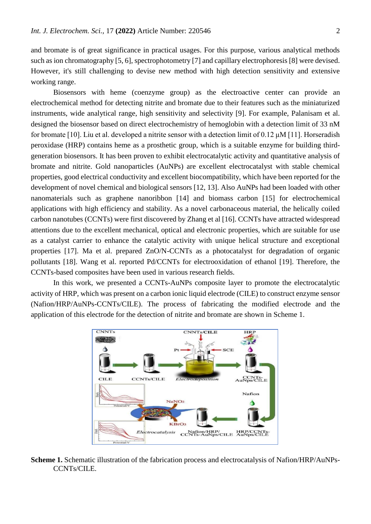and bromate is of great significance in practical usages. For this purpose, various analytical methods such as ion chromatography [5, 6], spectrophotometry [7] and capillary electrophoresis [8] were devised. However, it's still challenging to devise new method with high detection sensitivity and extensive working range.

Biosensors with heme (coenzyme group) as the electroactive center can provide an electrochemical method for detecting nitrite and bromate due to their features such as the miniaturized instruments, wide analytical range, high sensitivity and selectivity [9]. For example, Palanisam et al. designed the biosensor based on direct electrochemistry of hemoglobin with a detection limit of 33 nM for bromate [10]. Liu et al. developed a nitrite sensor with a detection limit of 0.12 μM [11]. Horseradish peroxidase (HRP) contains heme as a prosthetic group, which is a suitable enzyme for building thirdgeneration biosensors. It has been proven to exhibit electrocatalytic activity and quantitative analysis of bromate and nitrite. Gold nanoparticles (AuNPs) are excellent electrocatalyst with stable chemical properties, good electrical conductivity and excellent biocompatibility, which have been reported for the development of novel chemical and biological sensors [12, 13]. Also AuNPs had been loaded with other nanomaterials such as graphene nanoribbon [14] and biomass carbon [15] for electrochemical applications with high efficiency and stability. As a novel carbonaceous material, the helically coiled carbon nanotubes (CCNTs) were first discovered by Zhang et al [16]. CCNTs have attracted widespread attentions due to the excellent mechanical, optical and electronic properties, which are suitable for use as a catalyst carrier to enhance the catalytic activity with unique helical structure and exceptional properties [17]. Ma et al. prepared ZnO/N-CCNTs as a photocatalyst for degradation of organic pollutants [18]. Wang et al. reported Pd/CCNTs for electrooxidation of ethanol [19]. Therefore, the CCNTs-based composites have been used in various research fields.

In this work, we presented a CCNTs-AuNPs composite layer to promote the electrocatalytic activity of HRP, which was present on a carbon ionic liquid electrode (CILE) to construct enzyme sensor (Nafion/HRP/AuNPs-CCNTs/CILE). The process of fabricating the modified electrode and the application of this electrode for the detection of nitrite and bromate are shown in Scheme 1.



**Scheme 1.** Schematic illustration of the fabrication process and electrocatalysis of Nafion/HRP/AuNPs-CCNTs/CILE.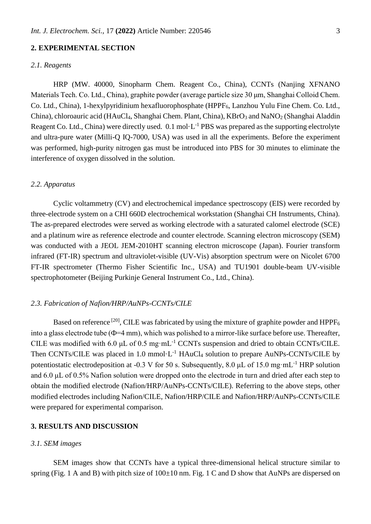## **2. EXPERIMENTAL SECTION**

## *2.1. Reagents*

HRP (MW. 40000, Sinopharm Chem. Reagent Co., China), CCNTs (Nanjing XFNANO Materials Tech. Co. Ltd., China), graphite powder (average particle size 30 μm, Shanghai Colloid Chem. Co. Ltd., China), 1-hexylpyridinium hexafluorophosphate (HPPF<sub>6</sub>, Lanzhou Yulu Fine Chem. Co. Ltd., China), chloroauric acid (HAuCl<sub>4</sub>, Shanghai Chem. Plant, China), KBrO<sub>3</sub> and NaNO<sub>2</sub> (Shanghai Aladdin Reagent Co. Ltd., China) were directly used.  $0.1 \text{ mol} \cdot L^{-1}$  PBS was prepared as the supporting electrolyte and ultra-pure water (Milli-Q IQ-7000, USA) was used in all the experiments. Before the experiment was performed, high-purity nitrogen gas must be introduced into PBS for 30 minutes to eliminate the interference of oxygen dissolved in the solution.

## *2.2. Apparatus*

Cyclic voltammetry (CV) and electrochemical impedance spectroscopy (EIS) were recorded by three-electrode system on a CHI 660D electrochemical workstation (Shanghai CH Instruments, China). The as-prepared electrodes were served as working electrode with a saturated calomel electrode (SCE) and a platinum wire as reference electrode and counter electrode. Scanning electron microscopy (SEM) was conducted with a JEOL JEM-2010HT scanning electron microscope (Japan). Fourier transform infrared (FT-IR) spectrum and ultraviolet-visible (UV-Vis) absorption spectrum were on Nicolet 6700 FT-IR spectrometer (Thermo Fisher Scientific Inc., USA) and TU1901 double-beam UV-visible spectrophotometer (Beijing Purkinje General Instrument Co., Ltd., China).

## *2.3. Fabrication of Nafion/HRP/AuNPs-CCNTs/CILE*

Based on reference  $^{[20]}$ , CILE was fabricated by using the mixture of graphite powder and HPPF<sub>6</sub> into a glass electrode tube ( $\Phi$ =4 mm), which was polished to a mirror-like surface before use. Thereafter, CILE was modified with 6.0  $\mu$ L of 0.5 mg·mL<sup>-1</sup> CCNTs suspension and dried to obtain CCNTs/CILE. Then CCNTs/CILE was placed in 1.0 mmol $\cdot L^{-1}$  HAuCl<sub>4</sub> solution to prepare AuNPs-CCNTs/CILE by potentiostatic electrodeposition at -0.3 V for 50 s. Subsequently, 8.0  $\mu$ L of 15.0 mg·mL<sup>-1</sup> HRP solution and 6.0 μL of 0.5% Nafion solution were dropped onto the electrode in turn and dried after each step to obtain the modified electrode (Nafion/HRP/AuNPs-CCNTs/CILE). Referring to the above steps, other modified electrodes including Nafion/CILE, Nafion/HRP/CILE and Nafion/HRP/AuNPs-CCNTs/CILE were prepared for experimental comparison.

## **3. RESULTS AND DISCUSSION**

#### *3.1. SEM images*

SEM images show that CCNTs have a typical three-dimensional helical structure similar to spring (Fig. 1 A and B) with pitch size of  $100\pm 10$  nm. Fig. 1 C and D show that AuNPs are dispersed on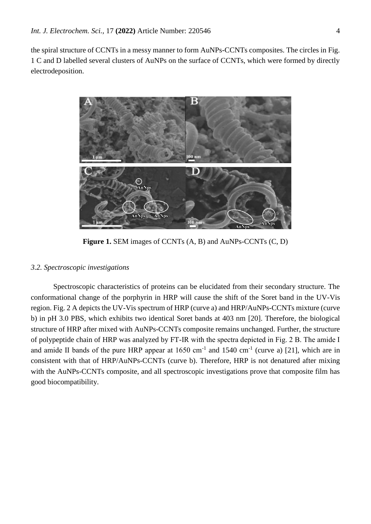the spiral structure of CCNTs in a messy manner to form AuNPs-CCNTs composites. The circles in Fig. 1 C and D labelled several clusters of AuNPs on the surface of CCNTs, which were formed by directly electrodeposition.



**Figure 1.** SEM images of CCNTs (A, B) and AuNPs-CCNTs (C, D)

## *3.2. Spectroscopic investigations*

Spectroscopic characteristics of proteins can be elucidated from their secondary structure. The conformational change of the porphyrin in HRP will cause the shift of the Soret band in the UV-Vis region. Fig. 2 A depicts the UV-Vis spectrum of HRP (curve a) and HRP/AuNPs-CCNTs mixture (curve b) in pH 3.0 PBS, which exhibits two identical Soret bands at 403 nm [20]. Therefore, the biological structure of HRP after mixed with AuNPs-CCNTs composite remains unchanged. Further, the structure of polypeptide chain of HRP was analyzed by FT-IR with the spectra depicted in Fig. 2 B. The amide Ⅰ and amide II bands of the pure HRP appear at  $1650 \text{ cm}^{-1}$  and  $1540 \text{ cm}^{-1}$  (curve a) [21], which are in consistent with that of HRP/AuNPs-CCNTs (curve b). Therefore, HRP is not denatured after mixing with the AuNPs-CCNTs composite, and all spectroscopic investigations prove that composite film has good biocompatibility.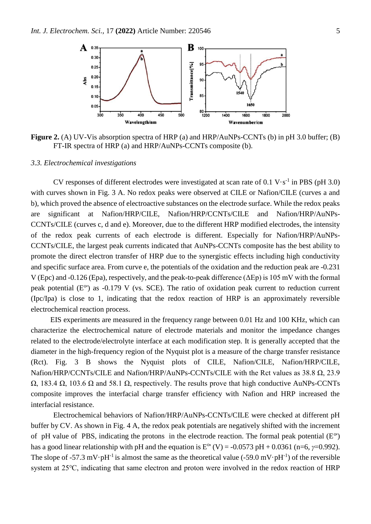

**Figure 2.** (A) UV-Vis absorption spectra of HRP (a) and HRP/AuNPs-CCNTs (b) in pH 3.0 buffer; (B) FT-IR spectra of HRP (a) and HRP/AuNPs-CCNTs composite (b).

#### *3.3. Electrochemical investigations*

CV responses of different electrodes were investigated at scan rate of  $0.1 \text{ V} \cdot \text{s}^{-1}$  in PBS (pH 3.0) with curves shown in Fig. 3 A. No redox peaks were observed at CILE or Nafion/CILE (curves a and b), which proved the absence of electroactive substances on the electrode surface. While the redox peaks are significant at Nafion/HRP/CILE, Nafion/HRP/CCNTs/CILE and Nafion/HRP/AuNPs-CCNTs/CILE (curves c, d and e). Moreover, due to the different HRP modified electrodes, the intensity of the redox peak currents of each electrode is different. Especially for Nafion/HRP/AuNPs-CCNTs/CILE, the largest peak currents indicated that AuNPs-CCNTs composite has the best ability to promote the direct electron transfer of HRP due to the synergistic effects including high conductivity and specific surface area. From curve e, the potentials of the oxidation and the reduction peak are -0.231 V (Epc) and -0.126 (Epa), respectively, and the peak-to-peak difference (ΔEp) is 105 mV with the formal peak potential  $(E^{\circ})$  as -0.179 V (vs. SCE). The ratio of oxidation peak current to reduction current (Ipc/Ipa) is close to 1, indicating that the redox reaction of HRP is an approximately reversible electrochemical reaction process.

EIS experiments are measured in the frequency range between 0.01 Hz and 100 KHz, which can characterize the electrochemical nature of electrode materials and monitor the impedance changes related to the electrode/electrolyte interface at each modification step. It is generally accepted that the diameter in the high-frequency region of the Nyquist plot is a measure of the charge transfer resistance (Rct). Fig. 3 B shows the Nyquist plots of CILE, Nafion/CILE, Nafion/HRP/CILE, Nafion/HRP/CCNTs/CILE and Nafion/HRP/AuNPs-CCNTs/CILE with the Rct values as 38.8 Ω, 23.9  $Ω$ , 183.4  $Ω$ , 103.6  $Ω$  and 58.1  $Ω$ , respectively. The results prove that high conductive AuNPs-CCNTs composite improves the interfacial charge transfer efficiency with Nafion and HRP increased the interfacial resistance.

Electrochemical behaviors of Nafion/HRP/AuNPs-CCNTs/CILE were checked at different pH buffer by CV. As shown in Fig. 4 A, the redox peak potentials are negatively shifted with the increment of pH value of PBS, indicating the protons in the electrode reaction. The formal peak potential  $(E^{\circ})$ has a good linear relationship with pH and the equation is  $E^{\circ}(V) = -0.0573 \text{ pH} + 0.0361 \text{ (n=6, } \gamma = 0.992)$ . The slope of -57.3 mV·pH<sup>-1</sup> is almost the same as the theoretical value (-59.0 mV·pH<sup>-1</sup>) of the reversible system at 25℃, indicating that same electron and proton were involved in the redox reaction of HRP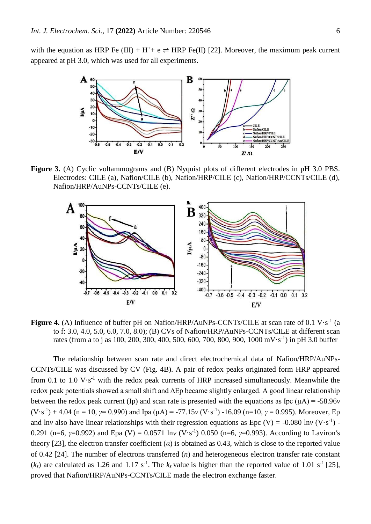with the equation as HRP Fe (III) + H<sup>+</sup>+ e  $\rightleftharpoons$  HRP Fe(II) [22]. Moreover, the maximum peak current appeared at pH 3.0, which was used for all experiments.



**Figure 3.** (A) Cyclic voltammograms and (B) Nyquist plots of different electrodes in pH 3.0 PBS. Electrodes: CILE (a), Nafion/CILE (b), Nafion/HRP/CILE (c), Nafion/HRP/CCNTs/CILE (d), Nafion/HRP/AuNPs-CCNTs/CILE (e).



**Figure 4.** (A) Influence of buffer pH on Nafion/HRP/AuNPs-CCNTs/CILE at scan rate of 0.1 V·s<sup>-1</sup> (a to f: 3.0, 4.0, 5.0, 6.0, 7.0, 8.0); (B) CVs of Nafion/HRP/AuNPs-CCNTs/CILE at different scan rates (from a to j as 100, 200, 300, 400, 500, 600, 700, 800, 900, 1000 mV·s<sup>-1</sup>) in pH 3.0 buffer

The relationship between scan rate and direct electrochemical data of Nafion/HRP/AuNPs-CCNTs/CILE was discussed by CV (Fig. 4B). A pair of redox peaks originated form HRP appeared from 0.1 to 1.0  $V·s^{-1}$  with the redox peak currents of HRP increased simultaneously. Meanwhile the redox peak potentials showed a small shift and ∆Ep became slightly enlarged. A good linear relationship between the redox peak current (Ip) and scan rate is presented with the equations as Ipc  $(\mu A) = -58.96v$  $(V \cdot s^{-1}) + 4.04$  (n = 10, *γ*= 0.990) and Ipa ( $\mu$ A) = -77.15*v* (V $\cdot$ s<sup>-1</sup>) -16.09 (n=10, *γ* = 0.995). Moreover, Ep and lnv also have linear relationships with their regression equations as Epc (V) = -0.080 lnv  $(V \cdot s^{-1})$  -0.291 (n=6, *γ*=0.992) and Epa (V) = 0.0571 ln*v* (V·s-1 ) 0.050 (n=6, *γ*=0.993). According to Laviron*'*s theory [23], the electron transfer coefficient  $\alpha$ ) is obtained as 0.43, which is close to the reported value of 0.42 [24]. The number of electrons transferred (*n*) and heterogeneous electron transfer rate constant  $(k_s)$  are calculated as 1.26 and 1.17 s<sup>-1</sup>. The  $k_s$  value is higher than the reported value of 1.01 s<sup>-1</sup> [25], proved that Nafion/HRP/AuNPs-CCNTs/CILE made the electron exchange faster.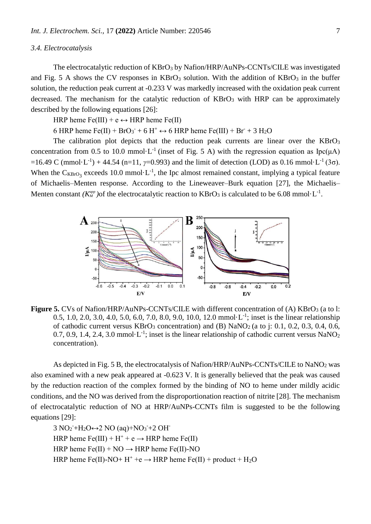## *3.4. Electrocatalysis*

The electrocatalytic reduction of KBrO<sub>3</sub> by Nafion/HRP/AuNPs-CCNTs/CILE was investigated and Fig. 5 A shows the CV responses in  $KBrO<sub>3</sub>$  solution. With the addition of  $KBrO<sub>3</sub>$  in the buffer solution, the reduction peak current at -0.233 V was markedly increased with the oxidation peak current decreased. The mechanism for the catalytic reduction of  $KBrO<sub>3</sub>$  with HRP can be approximately described by the following equations [26]:

HRP heme  $Fe(III)$  + e  $\leftrightarrow$  HRP heme  $Fe(II)$ 

6 HRP heme  $Fe(II)$  +  $BrO_3^-$  + 6 H<sup>+</sup>  $\leftrightarrow$  6 HRP heme  $Fe(III)$  +  $Br$  + 3 H<sub>2</sub>O

The calibration plot depicts that the reduction peak currents are linear over the  $KBrO<sub>3</sub>$ concentration from 0.5 to 10.0 mmol $\cdot L^{-1}$  (inset of Fig. 5 A) with the regression equation as Ipc( $\mu$ A)  $=$ 16.49 C (mmol·L<sup>-1</sup>) + 44.54 (n=11, *γ*=0.993) and the limit of detection (LOD) as 0.16 mmol·L<sup>-1</sup> (3σ). When the  $C_{KBrO_3}$  exceeds 10.0 mmol $\cdot L^{-1}$ , the Ipc almost remained constant, implying a typical feature of Michaelis–Menten response. According to the Lineweaver–Burk equation [27], the Michaelis– Menten constant  $(K_M^{app})$  of the electrocatalytic reaction to  $KBrO_3$  is calculated to be 6.08 mmol·L<sup>-1</sup>.



**Figure 5.** CVs of Nafion/HRP/AuNPs-CCNTs/CILE with different concentration of (A) KBrO<sub>3</sub> (a to l: 0.5, 1.0, 2.0, 3.0, 4.0, 5.0, 6.0, 7.0, 8.0, 9.0, 10.0, 12.0 mmol $\cdot L^{-1}$ ; inset is the linear relationship of cathodic current versus  $KBrO<sub>3</sub>$  concentration) and (B)  $NaNO<sub>2</sub>$  (a to j: 0.1, 0.2, 0.3, 0.4, 0.6, 0.7, 0.9, 1.4, 2.4, 3.0 mmol $\cdot L^{-1}$ ; inset is the linear relationship of cathodic current versus NaNO<sub>2</sub> concentration).

As depicted in Fig. 5 B, the electrocatalysis of Nafion/HRP/AuNPs-CCNTs/CILE to NaNO<sup>2</sup> was also examined with a new peak appeared at -0.623 V. It is generally believed that the peak was caused by the reduction reaction of the complex formed by the binding of NO to heme under mildly acidic conditions, and the NO was derived from the disproportionation reaction of nitrite [28]. The mechanism of electrocatalytic reduction of NO at HRP/AuNPs-CCNTs film is suggested to be the following equations [29]:

 $3 NO_2 + H_2O \leftrightarrow 2 NO$  (aq) +  $NO_3 + 2 OH$ HRP heme  $Fe(III) + H^+ + e \rightarrow HRP$  heme  $Fe(II)$ HRP heme  $Fe(II) + NO \rightarrow HRP$  heme  $Fe(II)$ -NO HRP heme Fe(II)-NO+  $H^+$  +e  $\rightarrow$  HRP heme Fe(II) + product + H<sub>2</sub>O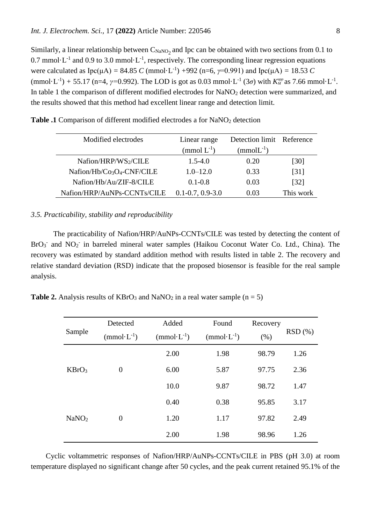Similarly, a linear relationship between  $C_{\text{NaNO}_2}$  and Ipc can be obtained with two sections from 0.1 to 0.7 mmol $\cdot$ L<sup>-1</sup> and 0.9 to 3.0 mmol $\cdot$ L<sup>-1</sup>, respectively. The corresponding linear regression equations were calculated as  $Ipc(μA) = 84.85 C (mmol·L<sup>-1</sup>) +992 (n=6, γ=0.991)$  and  $Ipc(μA) = 18.53 C$  $(\text{mmol} \cdot L^{-1}) + 55.17 \text{ (n=4, } \gamma=0.992)$ . The LOD is got as 0.03 mmol $\cdot L^{-1}$  (3*σ*) with  $K_M^{app}$  as 7.66 mmol $\cdot L^{-1}$ . In table 1 the comparison of different modified electrodes for NaNO<sub>2</sub> detection were summarized, and the results showed that this method had excellent linear range and detection limit.

| Modified electrodes                                | Linear range           | Detection limit Reference |                    |
|----------------------------------------------------|------------------------|---------------------------|--------------------|
|                                                    | $\pmod{L^{-1}}$        | $(mmolL^{-1})$            |                    |
| Nafion/HRP/WS2/CILE                                | $1.5 - 4.0$            | 0.20                      | [30]               |
| Nafion/Hb/Co <sub>3</sub> O <sub>4</sub> -CNF/CILE | $1.0 - 12.0$           | 0.33                      | [31]               |
| Nafion/Hb/Au/ZIF-8/CILE                            | $0.1 - 0.8$            | 0.03                      | $\lceil 32 \rceil$ |
| Nafion/HRP/AuNPs-CCNTs/CILE                        | $0.1 - 0.7, 0.9 - 3.0$ | 0.03                      | This work          |

**Table .1** Comparison of different modified electrodes a for NaNO<sub>2</sub> detection

## *3.5. Practicability, stability and reproducibility*

The practicability of Nafion/HRP/AuNPs-CCNTs/CILE was tested by detecting the content of BrO<sub>3</sub><sup>-</sup> and NO<sub>2</sub><sup>-</sup> in barreled mineral water samples (Haikou Coconut Water Co. Ltd., China). The recovery was estimated by standard addition method with results listed in table 2. The recovery and relative standard deviation (RSD) indicate that the proposed biosensor is feasible for the real sample analysis.

**Table 2.** Analysis results of  $KBrO<sub>3</sub>$  and  $NaNO<sub>2</sub>$  in a real water sample (n = 5)

| Sample            | Detected       | Added           | Found           | Recovery |        |
|-------------------|----------------|-----------------|-----------------|----------|--------|
|                   | $(mmol·L-1)$   | $(mmol·L^{-1})$ | $(mmol·L^{-1})$ | (% )     | RSD(%) |
| KBrO <sub>3</sub> | $\theta$       | 2.00            | 1.98            | 98.79    | 1.26   |
|                   |                | 6.00            | 5.87            | 97.75    | 2.36   |
|                   |                | 10.0            | 9.87            | 98.72    | 1.47   |
| NaNO <sub>2</sub> |                | 0.40            | 0.38            | 95.85    | 3.17   |
|                   | $\overline{0}$ | 1.20            | 1.17            | 97.82    | 2.49   |
|                   |                | 2.00            | 1.98            | 98.96    | 1.26   |

Cyclic voltammetric responses of Nafion/HRP/AuNPs-CCNTs/CILE in PBS (pH 3.0) at room temperature displayed no significant change after 50 cycles, and the peak current retained 95.1% of the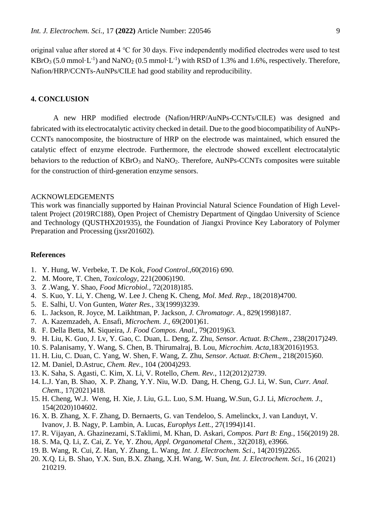original value after stored at 4 ℃ for 30 days. Five independently modified electrodes were used to test  $KBrO<sub>3</sub>$  (5.0 mmol $\cdot$ L<sup>-1</sup>) and NaNO<sub>2</sub> (0.5 mmol $\cdot$ L<sup>-1</sup>) with RSD of 1.3% and 1.6%, respectively. Therefore, Nafion/HRP/CCNTs-AuNPs/CILE had good stability and reproducibility.

# **4. CONCLUSION**

A new HRP modified electrode (Nafion/HRP/AuNPs-CCNTs/CILE) was designed and fabricated with its electrocatalytic activity checked in detail. Due to the good biocompatibility of AuNPs-CCNTs nanocomposite, the biostructure of HRP on the electrode was maintained, which ensured the catalytic effect of enzyme electrode. Furthermore, the electrode showed excellent electrocatalytic behaviors to the reduction of KBrO<sub>3</sub> and NaNO<sub>2</sub>. Therefore, AuNPs-CCNTs composites were suitable for the construction of third-generation enzyme sensors.

#### ACKNOWLEDGEMENTS

This work was financially supported by Hainan Provincial Natural Science Foundation of High Leveltalent Project (2019RC188), Open Project of Chemistry Department of Qingdao University of Science and Technology (QUSTHX201935), the Foundation of Jiangxi Province Key Laboratory of Polymer Preparation and Processing (jxsr201602).

## **References**

- 1. Y. Hung, W. Verbeke, T. De Kok, *Food Control.*,60(2016) 690.
- 2. M. Moore, T. Chen, *Toxicology*, 221(2006)190.
- 3. Z .Wang, Y. Shao, *Food Microbiol.*, 72(2018)185.
- 4. S. Kuo, Y. Li, Y. Cheng, W. Lee J. Cheng K. Cheng, *Mol. Med. Rep*., 18(2018)4700.
- 5. E. Salhi, U. Von Gunten, *Water Res.*, 33(1999)3239.
- 6. L. Jackson, R. Joyce, M. Laikhtman, P. Jackson, *J. Chromatogr. A.*, 829(1998)187.
- 7. A. Kazemzadeh, A. Ensafi, *Microchem. J.,* 69(2001)61.
- 8. F. Della Betta, M. Siqueira, *J. Food Compos. Anal.*, 79(2019)63*.*
- 9. H. Liu, K. Guo, J. Lv, Y. Gao, C. Duan, L. Deng, Z. Zhu, *Sensor. Actuat. B:Chem.,* 238(2017)249.
- 10. S. Palanisamy, Y. Wang, S. Chen, B. Thirumalraj, B. Lou, *Microchim. Acta*,183(2016)1953.
- 11. H. Liu, C. Duan, C. Yang, W. Shen, F. Wang, Z. Zhu, *Sensor. Actuat. B:Chem*., 218(2015)60.
- 12. M. Daniel, D.Astruc, *Chem. Rev.*, 104 (2004)293.
- 13. K. Saha, S. Agasti, C. Kim, X. Li, V. Rotello, *Chem. Rev.*, 112(2012)2739.
- 14. L.J. Yan, B. Shao, X. P. Zhang, Y.Y. Niu, W.D. Dang, H. Cheng, G.J. Li, W. Sun, *Curr. Anal. Chem.*, 17(2021)418.
- 15. H. Cheng, W.J. Weng, H. Xie, J. Liu, G.L. Luo, S.M. Huang, W.Sun, G.J. Li, *[Microchem.](https://www.x-mol.com/paper/journal/557?r_detail=1214700008744177664) [J](https://www.x-mol.com/paper/journal/557?r_detail=1214700008744177664)*[.,](https://www.x-mol.com/paper/journal/557?r_detail=1214700008744177664) 154(2020)104602.
- 16. X. B. Zhang, X. F. Zhang, D. Bernaerts, G. van Tendeloo, S. Amelinckx, J. van Landuyt, V. Ivanov, J. B. Nagy, P. Lambin, A. Lucas, *Europhys Lett.,* 27(1994)141.
- 17. R. Vijayan, A. Ghazinezami, S.Taklimi, M. Khan, D. Askari, *Compos. Part B: Eng.*, 156(2019) 28.
- 18. S. Ma, Q. Li, Z. Cai, Z. Ye, Y. Zhou, *Appl. Organometal Chem.*, 32(2018), e3966.
- 19. B. Wang, R. Cui, Z. Han, Y. Zhang, L. Wang, *Int. J. Electrochem. Sci*., 14(2019)2265.
- 20. X.Q. Li, B. Shao, Y.X. Sun, B.X. Zhang, X.H. Wang, W. Sun, *Int. J. Electrochem. Sci*., 16 (2021) 210219.